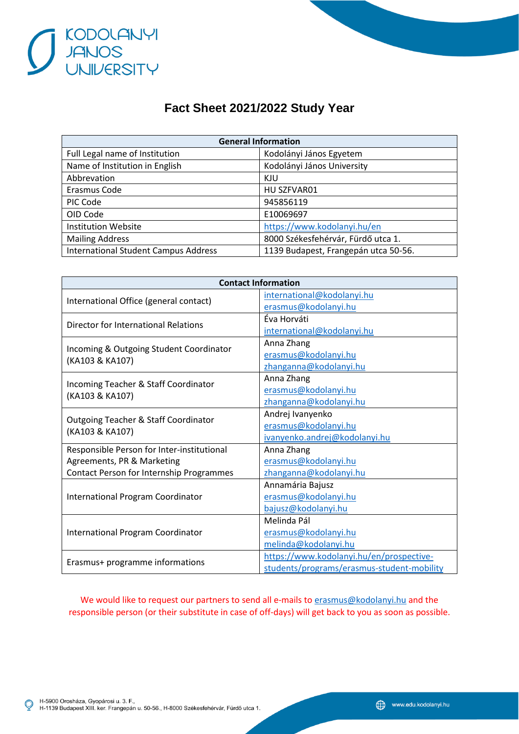

## **Fact Sheet 2021/2022 Study Year**

| <b>General Information</b>                  |                                      |  |
|---------------------------------------------|--------------------------------------|--|
| Full Legal name of Institution              | Kodolányi János Egyetem              |  |
| Name of Institution in English              | Kodolányi János University           |  |
| Abbrevation                                 | KJU                                  |  |
| Erasmus Code                                | HU SZFVAR01                          |  |
| PIC Code                                    | 945856119                            |  |
| OID Code                                    | E10069697                            |  |
| <b>Institution Website</b>                  | https://www.kodolanyi.hu/en          |  |
| <b>Mailing Address</b>                      | 8000 Székesfehérvár, Fürdő utca 1.   |  |
| <b>International Student Campus Address</b> | 1139 Budapest, Frangepán utca 50-56. |  |

| <b>Contact Information</b>                                 |                                            |  |
|------------------------------------------------------------|--------------------------------------------|--|
| International Office (general contact)                     | international@kodolanyi.hu                 |  |
|                                                            | erasmus@kodolanyi.hu                       |  |
| Director for International Relations                       | Éva Horváti                                |  |
|                                                            | international@kodolanyi.hu                 |  |
| Incoming & Outgoing Student Coordinator<br>(KA103 & KA107) | Anna Zhang                                 |  |
|                                                            | erasmus@kodolanyi.hu                       |  |
|                                                            | zhanganna@kodolanyi.hu                     |  |
| Incoming Teacher & Staff Coordinator<br>(KA103 & KA107)    | Anna Zhang                                 |  |
|                                                            | erasmus@kodolanyi.hu                       |  |
|                                                            | zhanganna@kodolanyi.hu                     |  |
| <b>Outgoing Teacher &amp; Staff Coordinator</b>            | Andrej Ivanyenko                           |  |
| (KA103 & KA107)                                            | erasmus@kodolanyi.hu                       |  |
|                                                            | ivanyenko.andrej@kodolanyi.hu              |  |
| Responsible Person for Inter-institutional                 | Anna Zhang                                 |  |
| Agreements, PR & Marketing                                 | erasmus@kodolanyi.hu                       |  |
| Contact Person for Internship Programmes                   | zhanganna@kodolanyi.hu                     |  |
| <b>International Program Coordinator</b>                   | Annamária Bajusz                           |  |
|                                                            | erasmus@kodolanyi.hu                       |  |
|                                                            | bajusz@kodolanyi.hu                        |  |
| <b>International Program Coordinator</b>                   | Melinda Pál                                |  |
|                                                            | erasmus@kodolanyi.hu                       |  |
|                                                            | melinda@kodolanyi.hu                       |  |
| Erasmus+ programme informations                            | https://www.kodolanyi.hu/en/prospective-   |  |
|                                                            | students/programs/erasmus-student-mobility |  |

We would like to request our partners to send all e-mails to [erasmus@kodolanyi.hu](mailto:erasmus@kodolanyi.hu) and the responsible person (or their substitute in case of off-days) will get back to you as soon as possible.